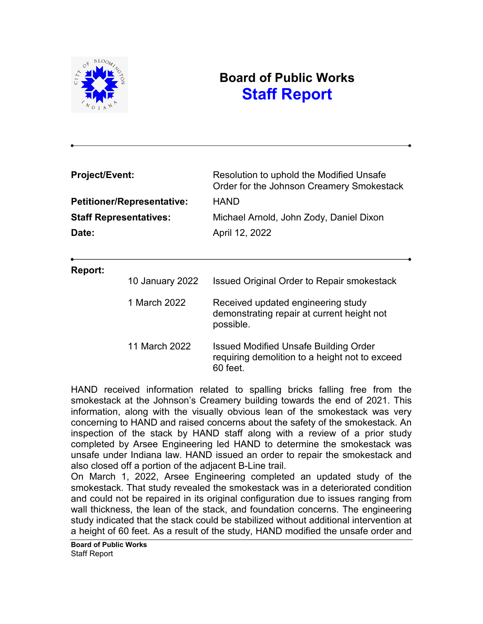

# **Board of Public Works Staff Report**

| <b>Project/Event:</b><br><b>Petitioner/Representative:</b><br><b>Staff Representatives:</b><br>Date: |                 | Resolution to uphold the Modified Unsafe<br>Order for the Johnson Creamery Smokestack<br><b>HAND</b><br>Michael Arnold, John Zody, Daniel Dixon |                |  |
|------------------------------------------------------------------------------------------------------|-----------------|-------------------------------------------------------------------------------------------------------------------------------------------------|----------------|--|
|                                                                                                      |                 |                                                                                                                                                 | April 12, 2022 |  |
|                                                                                                      |                 |                                                                                                                                                 |                |  |
|                                                                                                      |                 | Report:                                                                                                                                         |                |  |
|                                                                                                      | 10 January 2022 | <b>Issued Original Order to Repair smokestack</b>                                                                                               |                |  |
|                                                                                                      | 1 March 2022    | Received updated engineering study<br>demonstrating repair at current height not<br>possible.                                                   |                |  |
|                                                                                                      | 11 March 2022   | Issued Modified Unsafe Building Order<br>requiring demolition to a height not to exceed<br>60 feet.                                             |                |  |

HAND received information related to spalling bricks falling free from the smokestack at the Johnson's Creamery building towards the end of 2021. This information, along with the visually obvious lean of the smokestack was very concerning to HAND and raised concerns about the safety of the smokestack. An inspection of the stack by HAND staff along with a review of a prior study completed by Arsee Engineering led HAND to determine the smokestack was unsafe under Indiana law. HAND issued an order to repair the smokestack and also closed off a portion of the adjacent B-Line trail.

On March 1, 2022, Arsee Engineering completed an updated study of the smokestack. That study revealed the smokestack was in a deteriorated condition and could not be repaired in its original configuration due to issues ranging from wall thickness, the lean of the stack, and foundation concerns. The engineering study indicated that the stack could be stabilized without additional intervention at a height of 60 feet. As a result of the study, HAND modified the unsafe order and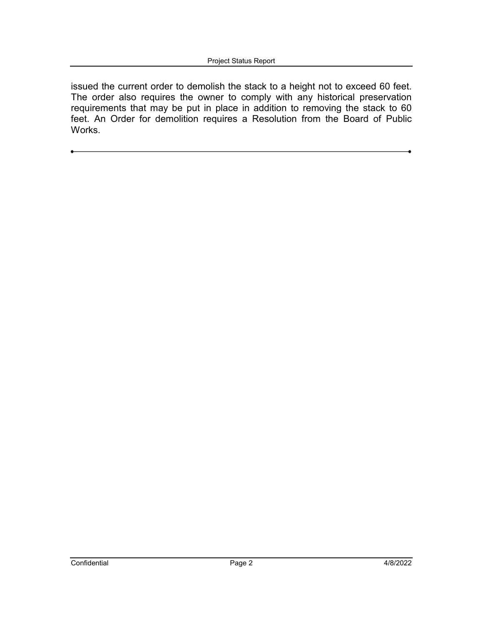issued the current order to demolish the stack to a height not to exceed 60 feet. The order also requires the owner to comply with any historical preservation requirements that may be put in place in addition to removing the stack to 60 feet. An Order for demolition requires a Resolution from the Board of Public Works.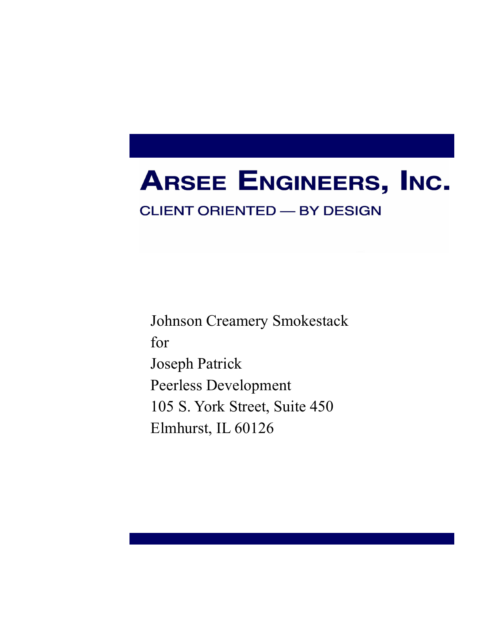# **ARSEE ENGINEERS, INC.**

# **CLIENT ORIENTED - BY DESIGN**

Johnson Creamery Smokestack for Joseph Patrick Peerless Development 105 S. York Street, Suite 450 Elmhurst, IL 60126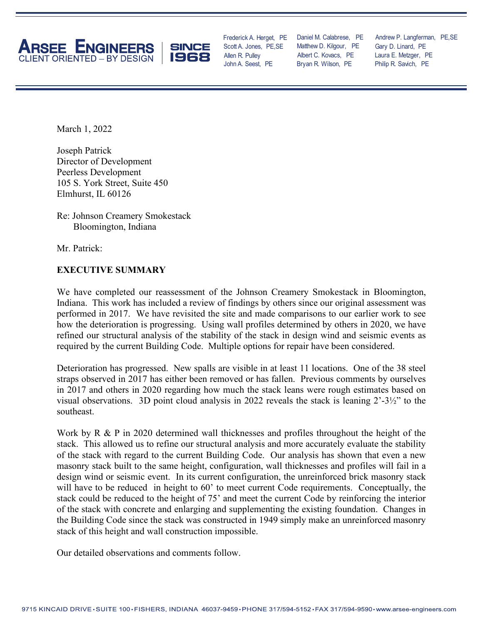



Frederick A. Herget, PE Allen R. Pulley John A. Seest, PE Scott A. Jones, PE,SE

Albert C. Kovacs, PE Matthew D. Kilgour, PE Daniel M. Calabrese, PE Bryan R. Wilson, PE

Laura E. Metzger, PE Andrew P. Langferman, PE,SE Philip R. Savich, PE Gary D. Linard, PE

March 1, 2022

Joseph Patrick Director of Development Peerless Development 105 S. York Street, Suite 450 Elmhurst, IL 60126

Re: Johnson Creamery Smokestack Bloomington, Indiana

Mr. Patrick:

#### **EXECUTIVE SUMMARY**

We have completed our reassessment of the Johnson Creamery Smokestack in Bloomington, Indiana. This work has included a review of findings by others since our original assessment was performed in 2017. We have revisited the site and made comparisons to our earlier work to see how the deterioration is progressing. Using wall profiles determined by others in 2020, we have refined our structural analysis of the stability of the stack in design wind and seismic events as required by the current Building Code. Multiple options for repair have been considered.

Deterioration has progressed. New spalls are visible in at least 11 locations. One of the 38 steel straps observed in 2017 has either been removed or has fallen. Previous comments by ourselves in 2017 and others in 2020 regarding how much the stack leans were rough estimates based on visual observations. 3D point cloud analysis in 2022 reveals the stack is leaning 2'-3½" to the southeast.

Work by R & P in 2020 determined wall thicknesses and profiles throughout the height of the stack. This allowed us to refine our structural analysis and more accurately evaluate the stability of the stack with regard to the current Building Code. Our analysis has shown that even a new masonry stack built to the same height, configuration, wall thicknesses and profiles will fail in a design wind or seismic event. In its current configuration, the unreinforced brick masonry stack will have to be reduced in height to 60' to meet current Code requirements. Conceptually, the stack could be reduced to the height of 75' and meet the current Code by reinforcing the interior of the stack with concrete and enlarging and supplementing the existing foundation. Changes in the Building Code since the stack was constructed in 1949 simply make an unreinforced masonry stack of this height and wall construction impossible.

Our detailed observations and comments follow.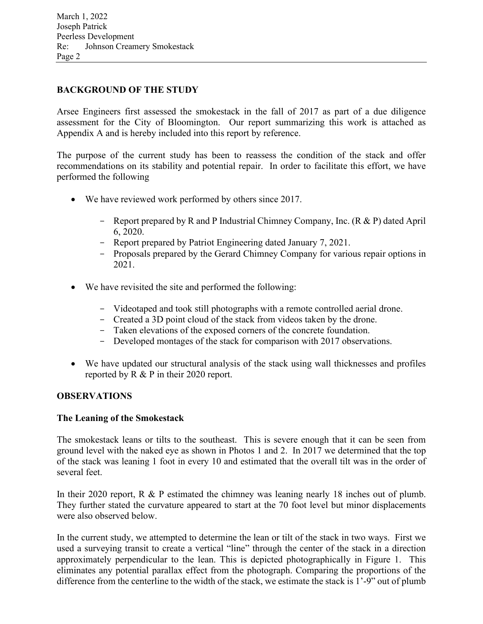#### **BACKGROUND OF THE STUDY**

Arsee Engineers first assessed the smokestack in the fall of 2017 as part of a due diligence assessment for the City of Bloomington. Our report summarizing this work is attached as Appendix A and is hereby included into this report by reference.

The purpose of the current study has been to reassess the condition of the stack and offer recommendations on its stability and potential repair. In order to facilitate this effort, we have performed the following

- We have reviewed work performed by others since 2017.
	- Report prepared by R and P Industrial Chimney Company, Inc. (R & P) dated April 6, 2020.
	- Report prepared by Patriot Engineering dated January 7, 2021.
	- Proposals prepared by the Gerard Chimney Company for various repair options in 2021.
- We have revisited the site and performed the following:
	- Videotaped and took still photographs with a remote controlled aerial drone.
	- Created a 3D point cloud of the stack from videos taken by the drone.
	- Taken elevations of the exposed corners of the concrete foundation.
	- Developed montages of the stack for comparison with 2017 observations.
- We have updated our structural analysis of the stack using wall thicknesses and profiles reported by R & P in their 2020 report.

## **OBSERVATIONS**

#### **The Leaning of the Smokestack**

The smokestack leans or tilts to the southeast. This is severe enough that it can be seen from ground level with the naked eye as shown in Photos 1 and 2. In 2017 we determined that the top of the stack was leaning 1 foot in every 10 and estimated that the overall tilt was in the order of several feet.

In their 2020 report, R & P estimated the chimney was leaning nearly 18 inches out of plumb. They further stated the curvature appeared to start at the 70 foot level but minor displacements were also observed below.

In the current study, we attempted to determine the lean or tilt of the stack in two ways. First we used a surveying transit to create a vertical "line" through the center of the stack in a direction approximately perpendicular to the lean. This is depicted photographically in Figure 1. This eliminates any potential parallax effect from the photograph. Comparing the proportions of the difference from the centerline to the width of the stack, we estimate the stack is 1'-9" out of plumb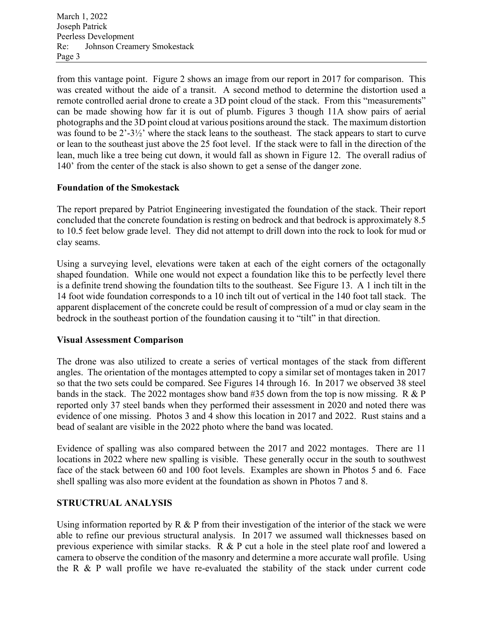from this vantage point. Figure 2 shows an image from our report in 2017 for comparison. This was created without the aide of a transit. A second method to determine the distortion used a remote controlled aerial drone to create a 3D point cloud of the stack. From this "measurements" can be made showing how far it is out of plumb. Figures 3 though 11A show pairs of aerial photographs and the 3D point cloud at various positions around the stack. The maximum distortion was found to be 2'-3½' where the stack leans to the southeast. The stack appears to start to curve or lean to the southeast just above the 25 foot level. If the stack were to fall in the direction of the lean, much like a tree being cut down, it would fall as shown in Figure 12. The overall radius of 140' from the center of the stack is also shown to get a sense of the danger zone.

#### **Foundation of the Smokestack**

The report prepared by Patriot Engineering investigated the foundation of the stack. Their report concluded that the concrete foundation is resting on bedrock and that bedrock is approximately 8.5 to 10.5 feet below grade level. They did not attempt to drill down into the rock to look for mud or clay seams.

Using a surveying level, elevations were taken at each of the eight corners of the octagonally shaped foundation. While one would not expect a foundation like this to be perfectly level there is a definite trend showing the foundation tilts to the southeast. See Figure 13. A 1 inch tilt in the 14 foot wide foundation corresponds to a 10 inch tilt out of vertical in the 140 foot tall stack. The apparent displacement of the concrete could be result of compression of a mud or clay seam in the bedrock in the southeast portion of the foundation causing it to "tilt" in that direction.

## **Visual Assessment Comparison**

The drone was also utilized to create a series of vertical montages of the stack from different angles. The orientation of the montages attempted to copy a similar set of montages taken in 2017 so that the two sets could be compared. See Figures 14 through 16. In 2017 we observed 38 steel bands in the stack. The 2022 montages show band #35 down from the top is now missing. R & P reported only 37 steel bands when they performed their assessment in 2020 and noted there was evidence of one missing. Photos 3 and 4 show this location in 2017 and 2022. Rust stains and a bead of sealant are visible in the 2022 photo where the band was located.

Evidence of spalling was also compared between the 2017 and 2022 montages. There are 11 locations in 2022 where new spalling is visible. These generally occur in the south to southwest face of the stack between 60 and 100 foot levels. Examples are shown in Photos 5 and 6. Face shell spalling was also more evident at the foundation as shown in Photos 7 and 8.

## **STRUCTRUAL ANALYSIS**

Using information reported by  $R \& P$  from their investigation of the interior of the stack we were able to refine our previous structural analysis. In 2017 we assumed wall thicknesses based on previous experience with similar stacks. R & P cut a hole in the steel plate roof and lowered a camera to observe the condition of the masonry and determine a more accurate wall profile. Using the R & P wall profile we have re-evaluated the stability of the stack under current code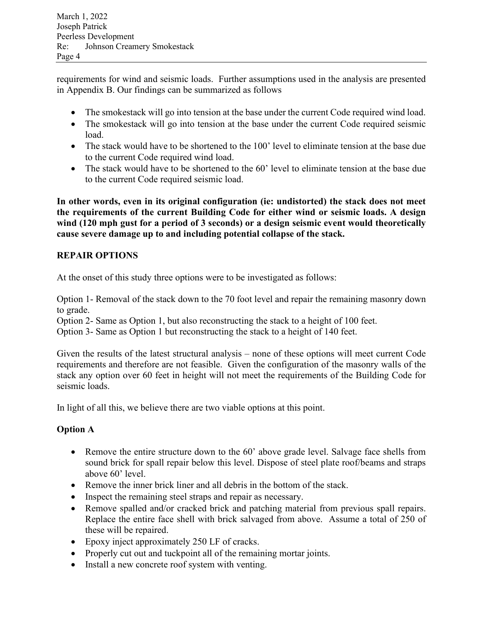requirements for wind and seismic loads. Further assumptions used in the analysis are presented in Appendix B. Our findings can be summarized as follows

- The smokestack will go into tension at the base under the current Code required wind load.
- The smokestack will go into tension at the base under the current Code required seismic load.
- The stack would have to be shortened to the 100' level to eliminate tension at the base due to the current Code required wind load.
- The stack would have to be shortened to the 60' level to eliminate tension at the base due to the current Code required seismic load.

**In other words, even in its original configuration (ie: undistorted) the stack does not meet the requirements of the current Building Code for either wind or seismic loads. A design wind (120 mph gust for a period of 3 seconds) or a design seismic event would theoretically cause severe damage up to and including potential collapse of the stack.** 

# **REPAIR OPTIONS**

At the onset of this study three options were to be investigated as follows:

Option 1- Removal of the stack down to the 70 foot level and repair the remaining masonry down to grade.

Option 2- Same as Option 1, but also reconstructing the stack to a height of 100 feet.

Option 3- Same as Option 1 but reconstructing the stack to a height of 140 feet.

Given the results of the latest structural analysis – none of these options will meet current Code requirements and therefore are not feasible. Given the configuration of the masonry walls of the stack any option over 60 feet in height will not meet the requirements of the Building Code for seismic loads.

In light of all this, we believe there are two viable options at this point.

# **Option A**

- Remove the entire structure down to the 60' above grade level. Salvage face shells from sound brick for spall repair below this level. Dispose of steel plate roof/beams and straps above 60' level.
- Remove the inner brick liner and all debris in the bottom of the stack.
- Inspect the remaining steel straps and repair as necessary.
- Remove spalled and/or cracked brick and patching material from previous spall repairs. Replace the entire face shell with brick salvaged from above. Assume a total of 250 of these will be repaired.
- Epoxy inject approximately 250 LF of cracks.
- Properly cut out and tuckpoint all of the remaining mortar joints.
- Install a new concrete roof system with venting.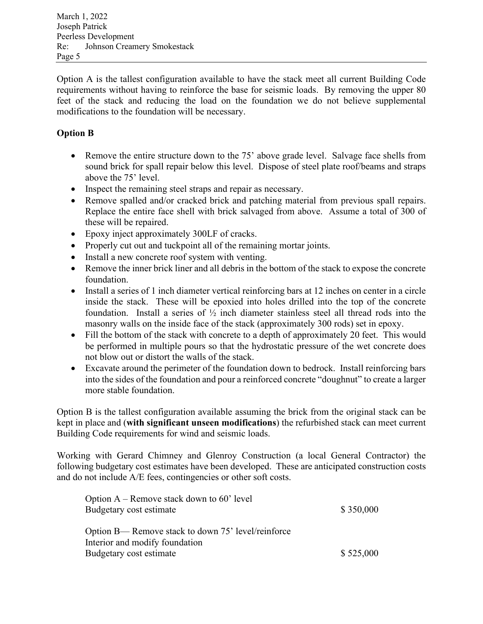Option A is the tallest configuration available to have the stack meet all current Building Code requirements without having to reinforce the base for seismic loads. By removing the upper 80 feet of the stack and reducing the load on the foundation we do not believe supplemental modifications to the foundation will be necessary.

# **Option B**

- Remove the entire structure down to the 75' above grade level. Salvage face shells from sound brick for spall repair below this level. Dispose of steel plate roof/beams and straps above the 75' level.
- Inspect the remaining steel straps and repair as necessary.
- Remove spalled and/or cracked brick and patching material from previous spall repairs. Replace the entire face shell with brick salvaged from above. Assume a total of 300 of these will be repaired.
- Epoxy inject approximately 300LF of cracks.
- Properly cut out and tuckpoint all of the remaining mortar joints.
- Install a new concrete roof system with venting.
- Remove the inner brick liner and all debris in the bottom of the stack to expose the concrete foundation.
- Install a series of 1 inch diameter vertical reinforcing bars at 12 inches on center in a circle inside the stack. These will be epoxied into holes drilled into the top of the concrete foundation. Install a series of ½ inch diameter stainless steel all thread rods into the masonry walls on the inside face of the stack (approximately 300 rods) set in epoxy.
- Fill the bottom of the stack with concrete to a depth of approximately 20 feet. This would be performed in multiple pours so that the hydrostatic pressure of the wet concrete does not blow out or distort the walls of the stack.
- Excavate around the perimeter of the foundation down to bedrock. Install reinforcing bars into the sides of the foundation and pour a reinforced concrete "doughnut" to create a larger more stable foundation.

Option B is the tallest configuration available assuming the brick from the original stack can be kept in place and (**with significant unseen modifications**) the refurbished stack can meet current Building Code requirements for wind and seismic loads.

Working with Gerard Chimney and Glenroy Construction (a local General Contractor) the following budgetary cost estimates have been developed. These are anticipated construction costs and do not include A/E fees, contingencies or other soft costs.

| Option $A$ – Remove stack down to 60' level<br>Budgetary cost estimate               | \$350,000 |
|--------------------------------------------------------------------------------------|-----------|
| Option B— Remove stack to down 75' level/reinforce<br>Interior and modify foundation |           |
| Budgetary cost estimate                                                              | \$525,000 |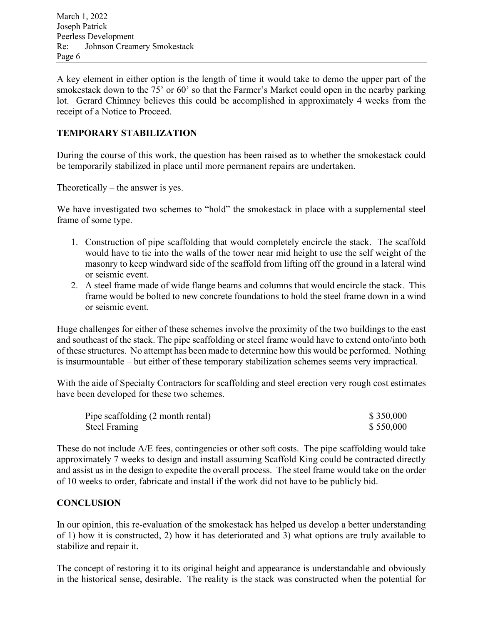A key element in either option is the length of time it would take to demo the upper part of the smokestack down to the 75' or 60' so that the Farmer's Market could open in the nearby parking lot. Gerard Chimney believes this could be accomplished in approximately 4 weeks from the receipt of a Notice to Proceed.

#### **TEMPORARY STABILIZATION**

During the course of this work, the question has been raised as to whether the smokestack could be temporarily stabilized in place until more permanent repairs are undertaken.

Theoretically – the answer is yes.

We have investigated two schemes to "hold" the smokestack in place with a supplemental steel frame of some type.

- 1. Construction of pipe scaffolding that would completely encircle the stack. The scaffold would have to tie into the walls of the tower near mid height to use the self weight of the masonry to keep windward side of the scaffold from lifting off the ground in a lateral wind or seismic event.
- 2. A steel frame made of wide flange beams and columns that would encircle the stack. This frame would be bolted to new concrete foundations to hold the steel frame down in a wind or seismic event.

Huge challenges for either of these schemes involve the proximity of the two buildings to the east and southeast of the stack. The pipe scaffolding or steel frame would have to extend onto/into both of these structures. No attempt has been made to determine how this would be performed. Nothing is insurmountable – but either of these temporary stabilization schemes seems very impractical.

With the aide of Specialty Contractors for scaffolding and steel erection very rough cost estimates have been developed for these two schemes.

| Pipe scaffolding (2 month rental) | \$350,000 |
|-----------------------------------|-----------|
| Steel Framing                     | \$550,000 |

These do not include A/E fees, contingencies or other soft costs. The pipe scaffolding would take approximately 7 weeks to design and install assuming Scaffold King could be contracted directly and assist us in the design to expedite the overall process. The steel frame would take on the order of 10 weeks to order, fabricate and install if the work did not have to be publicly bid.

#### **CONCLUSION**

In our opinion, this re-evaluation of the smokestack has helped us develop a better understanding of 1) how it is constructed, 2) how it has deteriorated and 3) what options are truly available to stabilize and repair it.

The concept of restoring it to its original height and appearance is understandable and obviously in the historical sense, desirable. The reality is the stack was constructed when the potential for